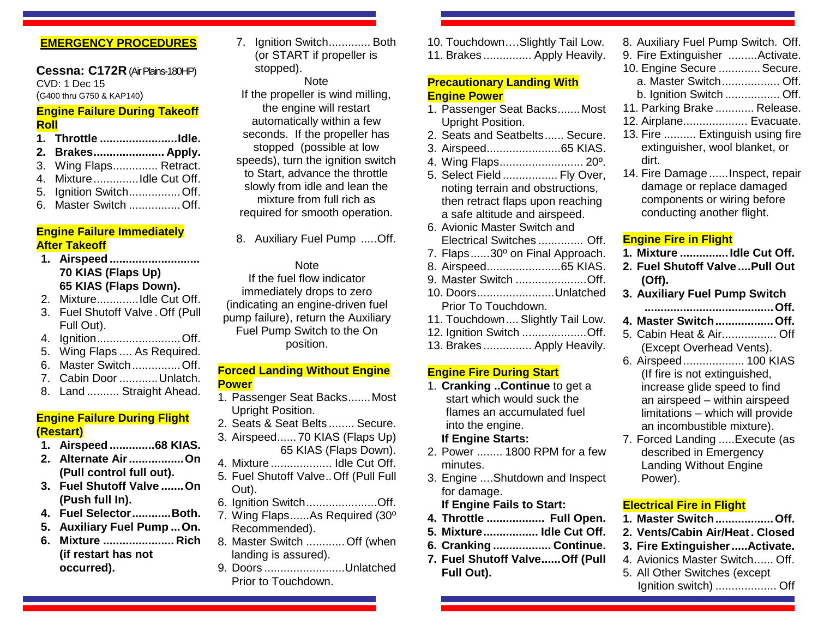# **EMERGENCY PROCEDURES**

#### **Cessna: C172R** (Air Plains-180HP) CVD: 1 Dec 15 (G400 thru G750 & KAP140)

### **Engine Failure During Takeoff Roll**

| 1. Throttle Idle.        |  |
|--------------------------|--|
| 2. Brakes Apply.         |  |
| 3. Wing Flaps Retract.   |  |
| 4. Mixture Idle Cut Off. |  |
| 5. Ignition SwitchOff.   |  |
| 6. Master Switch Off.    |  |

#### **Engine Failure Immediately After Takeoff**

- **1. Airspeed............................ 70 KIAS (Flaps Up) 65 KIAS (Flaps Down).**
- 2. Mixture.............Idle Cut Off.
- 3. Fuel Shutoff Valve .Off (Pull Full Out).
- 4. Ignition..........................Off.
- 5. Wing Flaps .... As Required.
- 6. Master Switch...............Off.
- 7. Cabin Door ............Unlatch.
- 8. Land .......... Straight Ahead.

# **Engine Failure During Flight (Restart)**

- **1. Airspeed..............68 KIAS.**
- **2. Alternate Air.................On (Pull control full out).**
- **3. Fuel Shutoff Valve .......On (Push full In).**
- **4. Fuel Selector............Both.**
- **5. Auxiliary Fuel Pump ...On.**
- **6. Mixture ...................... Rich (if restart has not occurred).**

7. Ignition Switch............. Both (or START if propeller is stopped).

## **Note**

If the propeller is wind milling, the engine will restart automatically within a few seconds. If the propeller has stopped (possible at low speeds), turn the ignition switch to Start, advance the throttle slowly from idle and lean the mixture from full rich as required for smooth operation.

8. Auxiliary Fuel Pump .....Off.

# **Note**

If the fuel flow indicator immediately drops to zero (indicating an engine-driven fuel pump failure), return the Auxiliary Fuel Pump Switch to the On position.

#### **Forced Landing Without Engine Power**

- 1. Passenger Seat Backs.......Most Upright Position.
- 2. Seats & Seat Belts ........ Secure.
- 3. Airspeed...... 70 KIAS (Flaps Up) 65 KIAS (Flaps Down).
- 4. Mixture ................... Idle Cut Off.
- 5. Fuel Shutoff Valve..Off (Pull Full Out).
- 6. Ignition Switch......................Off.
- 7. Wing Flaps......As Required (30º Recommended).
- 8. Master Switch ............Off (when landing is assured).
- 9. Doors .........................Unlatched Prior to Touchdown.

10. Touchdown….Slightly Tail Low. 11. Brakes ............... Apply Heavily.

#### **Precautionary Landing With Engine Power**

- 1. Passenger Seat Backs....... Most Upright Position.
- 2. Seats and Seatbelts...... Secure.
- 3. Airspeed.......................65 KIAS.
- 4. Wing Flaps.......................... 20º.
- 5. Select Field ................. Fly Over,
- noting terrain and obstructions, then retract flaps upon reaching a safe altitude and airspeed.
- 6. Avionic Master Switch and Electrical Switches .............. Off.
- 7. Flaps......30º on Final Approach.
- 8. Airspeed.......................65 KIAS.
- 9. Master Switch ......................Off.
- 10. Doors........................Unlatched Prior To Touchdown.
- 11. Touchdown.... Slightly Tail Low.
- 12. Ignition Switch ....................Off.
- 13. Brakes ............... Apply Heavily.

## **Engine Fire During Start**

1. **Cranking ..Continue** to get a start which would suck the flames an accumulated fuel into the engine.

## **If Engine Starts:**

- 2. Power ........ 1800 RPM for a few minutes.
- 3. Engine ....Shutdown and Inspect for damage.

# **If Engine Fails to Start:**

- **4. Throttle .................. Full Open.**
- **5. Mixture................. Idle Cut Off.**
- **6. Cranking .................. Continue.**
- **7. Fuel Shutoff Valve......Off (Pull Full Out).**
- 8. Auxiliary Fuel Pump Switch. Off.
- 9. Fire Extinguisher .........Activate.
- 10. Engine Secure .............Secure.
- a. Master Switch.................. Off.
- b. Ignition Switch ................. Off.
- 11. Parking Brake ............ Release.
- 12. Airplane.................... Evacuate.
- 13. Fire .......... Extinguish using fire extinguisher, wool blanket, or dirt.
- 14. Fire Damage ......Inspect, repair damage or replace damaged components or wiring before conducting another flight.

# **Engine Fire in Flight**

- **1. Mixture ............... Idle Cut Off.**
- **2. Fuel Shutoff Valve....Pull Out (Off).**
- **3. Auxiliary Fuel Pump Switch**
	- **........................................Off.**
- **4. Master Switch..................Off.**
- 5. Cabin Heat & Air................. Off (Except Overhead Vents).
- 6. Airspeed................... 100 KIAS (If fire is not extinguished, increase glide speed to find an airspeed – within airspeed limitations – which will provide an incombustible mixture).
- 7. Forced Landing .....Execute (as described in Emergency Landing Without Engine Power).

# **Electrical Fire in Flight**

- **1. Master Switch..................Off.**
- **2. Vents/Cabin Air/Heat. Closed**
- **3. Fire Extinguisher.....Activate.**
- 4. Avionics Master Switch...... Off.
- 5. All Other Switches (except Ignition switch) ................... Off